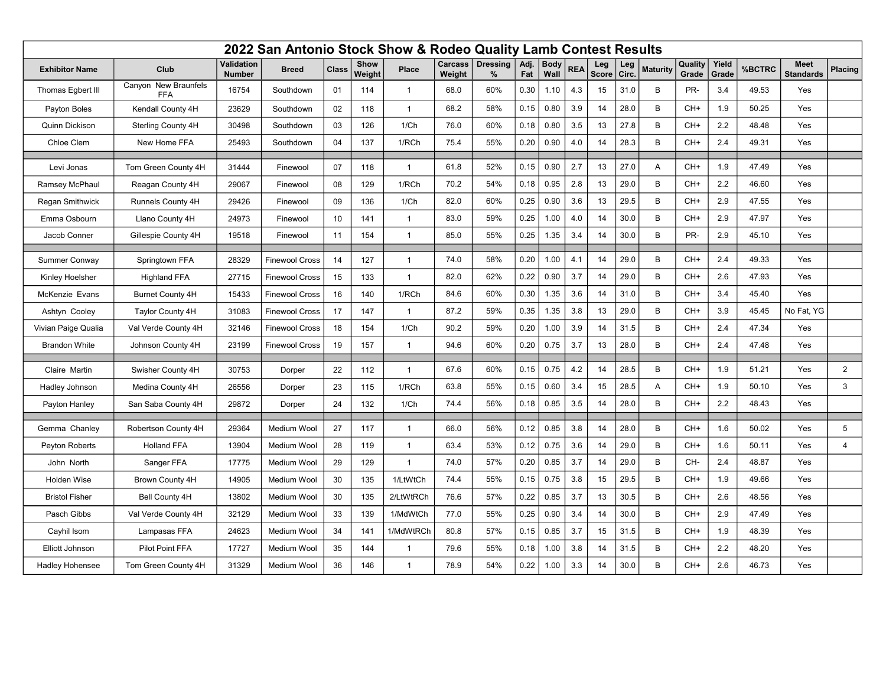| 2022 San Antonio Stock Show & Rodeo Quality Lamb Contest Results |                                    |                             |                       |              |                |                |                   |                         |             |                     |            |                     |              |                 |                  |                |        |                                 |                 |
|------------------------------------------------------------------|------------------------------------|-----------------------------|-----------------------|--------------|----------------|----------------|-------------------|-------------------------|-------------|---------------------|------------|---------------------|--------------|-----------------|------------------|----------------|--------|---------------------------------|-----------------|
| <b>Exhibitor Name</b>                                            | Club                               | Validation<br><b>Number</b> | <b>Breed</b>          | <b>Class</b> | Show<br>Weight | Place          | Carcass<br>Weight | <b>Dressing</b><br>$\%$ | Adj.<br>Fat | <b>Body</b><br>Wall | <b>REA</b> | Leg<br><b>Score</b> | Leg<br>Circ. | <b>Maturity</b> | Quality<br>Grade | Yield<br>Grade | %BCTRC | <b>Meet</b><br><b>Standards</b> | Placing         |
| Thomas Egbert III                                                | Canyon New Braunfels<br><b>FFA</b> | 16754                       | Southdown             | 01           | 114            | $\mathbf{1}$   | 68.0              | 60%                     | 0.30        | 1.10                | 4.3        | 15                  | 31.0         | B               | PR-              | 3.4            | 49.53  | Yes                             |                 |
| Payton Boles                                                     | Kendall County 4H                  | 23629                       | Southdown             | 02           | 118            | $\overline{1}$ | 68.2              | 58%                     | 0.15        | 0.80                | 3.9        | 14                  | 28.0         | B               | CH+              | 1.9            | 50.25  | Yes                             |                 |
| Quinn Dickison                                                   | Sterling County 4H                 | 30498                       | Southdown             | 03           | 126            | 1/Ch           | 76.0              | 60%                     | 0.18        | 0.80                | 3.5        | 13                  | 27.8         | B               | CH+              | 2.2            | 48.48  | Yes                             |                 |
| Chloe Clem                                                       | New Home FFA                       | 25493                       | Southdown             | 04           | 137            | 1/RCh          | 75.4              | 55%                     | 0.20        | 0.90                | 4.0        | 14                  | 28.3         | B               | CH+              | 2.4            | 49.31  | Yes                             |                 |
| Levi Jonas                                                       | Tom Green County 4H                | 31444                       | Finewool              | 07           | 118            | $\mathbf{1}$   | 61.8              | 52%                     | 0.15        | 0.90                | 2.7        | 13                  | 27.0         | A               | $CH+$            | 1.9            | 47.49  | Yes                             |                 |
| Ramsey McPhaul                                                   | Reagan County 4H                   | 29067                       | Finewool              | 08           | 129            | 1/RCh          | 70.2              | 54%                     | 0.18        | 0.95                | 2.8        | 13                  | 29.0         | B               | CH+              | 2.2            | 46.60  | Yes                             |                 |
| <b>Regan Smithwick</b>                                           | Runnels County 4H                  | 29426                       | Finewool              | 09           | 136            | 1/Ch           | 82.0              | 60%                     | 0.25        | 0.90                | 3.6        | 13                  | 29.5         | B               | CH+              | 2.9            | 47.55  | Yes                             |                 |
| Emma Osbourn                                                     | Llano County 4H                    | 24973                       | Finewool              | 10           | 141            | $\mathbf{1}$   | 83.0              | 59%                     | 0.25        | 1.00                | 4.0        | 14                  | 30.0         | B               | CH+              | 2.9            | 47.97  | Yes                             |                 |
| Jacob Conner                                                     | Gillespie County 4H                | 19518                       | Finewool              | 11           | 154            | $\mathbf{1}$   | 85.0              | 55%                     | 0.25        | 1.35                | 3.4        | 14                  | 30.0         | B               | PR-              | 2.9            | 45.10  | Yes                             |                 |
| Summer Conway                                                    | Springtown FFA                     | 28329                       | <b>Finewool Cross</b> | 14           | 127            | $\mathbf{1}$   | 74.0              | 58%                     | 0.20        | 1.00                | 4.1        | 14                  | 29.0         | B               | CH+              | 2.4            | 49.33  | Yes                             |                 |
| Kinley Hoelsher                                                  | <b>Highland FFA</b>                | 27715                       | <b>Finewool Cross</b> | 15           | 133            | $\mathbf{1}$   | 82.0              | 62%                     | 0.22        | 0.90                | 3.7        | 14                  | 29.0         | $\,$ B          | CH+              | 2.6            | 47.93  | Yes                             |                 |
| <b>McKenzie Evans</b>                                            | <b>Burnet County 4H</b>            | 15433                       | <b>Finewool Cross</b> | 16           | 140            | 1/RCh          | 84.6              | 60%                     | 0.30        | 1.35                | 3.6        | 14                  | 31.0         | B               | CH+              | 3.4            | 45.40  | Yes                             |                 |
| Ashtyn Cooley                                                    | <b>Taylor County 4H</b>            | 31083                       | <b>Finewool Cross</b> | 17           | 147            | $\mathbf{1}$   | 87.2              | 59%                     | 0.35        | 1.35                | 3.8        | 13                  | 29.0         | B               | CH+              | 3.9            | 45.45  | No Fat, YG                      |                 |
| Vivian Paige Qualia                                              | Val Verde County 4H                | 32146                       | <b>Finewool Cross</b> | 18           | 154            | 1/Ch           | 90.2              | 59%                     | 0.20        | 1.00                | 3.9        | 14                  | 31.5         | B               | CH+              | 2.4            | 47.34  | Yes                             |                 |
| <b>Brandon White</b>                                             | Johnson County 4H                  | 23199                       | <b>Finewool Cross</b> | 19           | 157            | $\mathbf{1}$   | 94.6              | 60%                     | 0.20        | 0.75                | 3.7        | 13                  | 28.0         | B               | CH+              | 2.4            | 47.48  | Yes                             |                 |
|                                                                  |                                    |                             |                       |              |                |                |                   |                         |             |                     |            |                     |              |                 |                  |                |        |                                 |                 |
| Claire Martin                                                    | Swisher County 4H                  | 30753                       | Dorper                | 22           | 112            | $\mathbf{1}$   | 67.6              | 60%                     | 0.15        | 0.75                | 4.2        | 14                  | 28.5         | B               | CH+              | 1.9            | 51.21  | Yes                             | $\overline{2}$  |
| Hadley Johnson                                                   | Medina County 4H                   | 26556                       | Dorper                | 23           | 115            | 1/RCh          | 63.8              | 55%                     | 0.15        | 0.60                | 3.4        | 15                  | 28.5         | Α               | CH+              | 1.9            | 50.10  | Yes                             | 3               |
| Payton Hanley                                                    | San Saba County 4H                 | 29872                       | Dorper                | 24           | 132            | 1/Ch           | 74.4              | 56%                     | 0.18        | 0.85                | 3.5        | 14                  | 28.0         | B               | $CH+$            | 2.2            | 48.43  | Yes                             |                 |
| Gemma Chanley                                                    | Robertson County 4H                | 29364                       | Medium Wool           | 27           | 117            | $\mathbf{1}$   | 66.0              | 56%                     | 0.12        | 0.85                | 3.8        | 14                  | 28.0         | B               | $CH+$            | 1.6            | 50.02  | Yes                             | $5\phantom{.0}$ |
| Peyton Roberts                                                   | <b>Holland FFA</b>                 | 13904                       | Medium Wool           | 28           | 119            | $\mathbf{1}$   | 63.4              | 53%                     | 0.12        | 0.75                | 3.6        | 14                  | 29.0         | B               | CH+              | 1.6            | 50.11  | Yes                             | $\overline{4}$  |
| John North                                                       | Sanger FFA                         | 17775                       | Medium Wool           | 29           | 129            | $\overline{1}$ | 74.0              | 57%                     | 0.20        | 0.85                | 3.7        | 14                  | 29.0         | B               | CH-              | 2.4            | 48.87  | Yes                             |                 |
| Holden Wise                                                      | Brown County 4H                    | 14905                       | Medium Wool           | 30           | 135            | 1/LtWtCh       | 74.4              | 55%                     | 0.15        | 0.75                | 3.8        | 15                  | 29.5         | B               | CH+              | 1.9            | 49.66  | Yes                             |                 |
| <b>Bristol Fisher</b>                                            | <b>Bell County 4H</b>              | 13802                       | Medium Wool           | 30           | 135            | 2/LtWtRCh      | 76.6              | 57%                     | 0.22        | 0.85                | 3.7        | 13                  | 30.5         | B               | CH+              | 2.6            | 48.56  | Yes                             |                 |
| Pasch Gibbs                                                      | Val Verde County 4H                | 32129                       | Medium Wool           | 33           | 139            | 1/MdWtCh       | 77.0              | 55%                     | 0.25        | 0.90                | 3.4        | 14                  | 30.0         | B               | CH+              | 2.9            | 47.49  | Yes                             |                 |
| Cayhil Isom                                                      | Lampasas FFA                       | 24623                       | Medium Wool           | 34           | 141            | 1/MdWtRCh      | 80.8              | 57%                     | 0.15        | 0.85                | 3.7        | 15                  | 31.5         | B               | CH+              | 1.9            | 48.39  | Yes                             |                 |
| Elliott Johnson                                                  | <b>Pilot Point FFA</b>             | 17727                       | Medium Wool           | 35           | 144            | $\mathbf{1}$   | 79.6              | 55%                     | 0.18        | 1.00                | 3.8        | 14                  | 31.5         | B               | CH+              | 2.2            | 48.20  | Yes                             |                 |
| <b>Hadley Hohensee</b>                                           | Tom Green County 4H                | 31329                       | Medium Wool           | 36           | 146            | $\mathbf{1}$   | 78.9              | 54%                     | 0.22        | 1.00                | 3.3        | 14                  | 30.0         | B               | CH+              | 2.6            | 46.73  | Yes                             |                 |